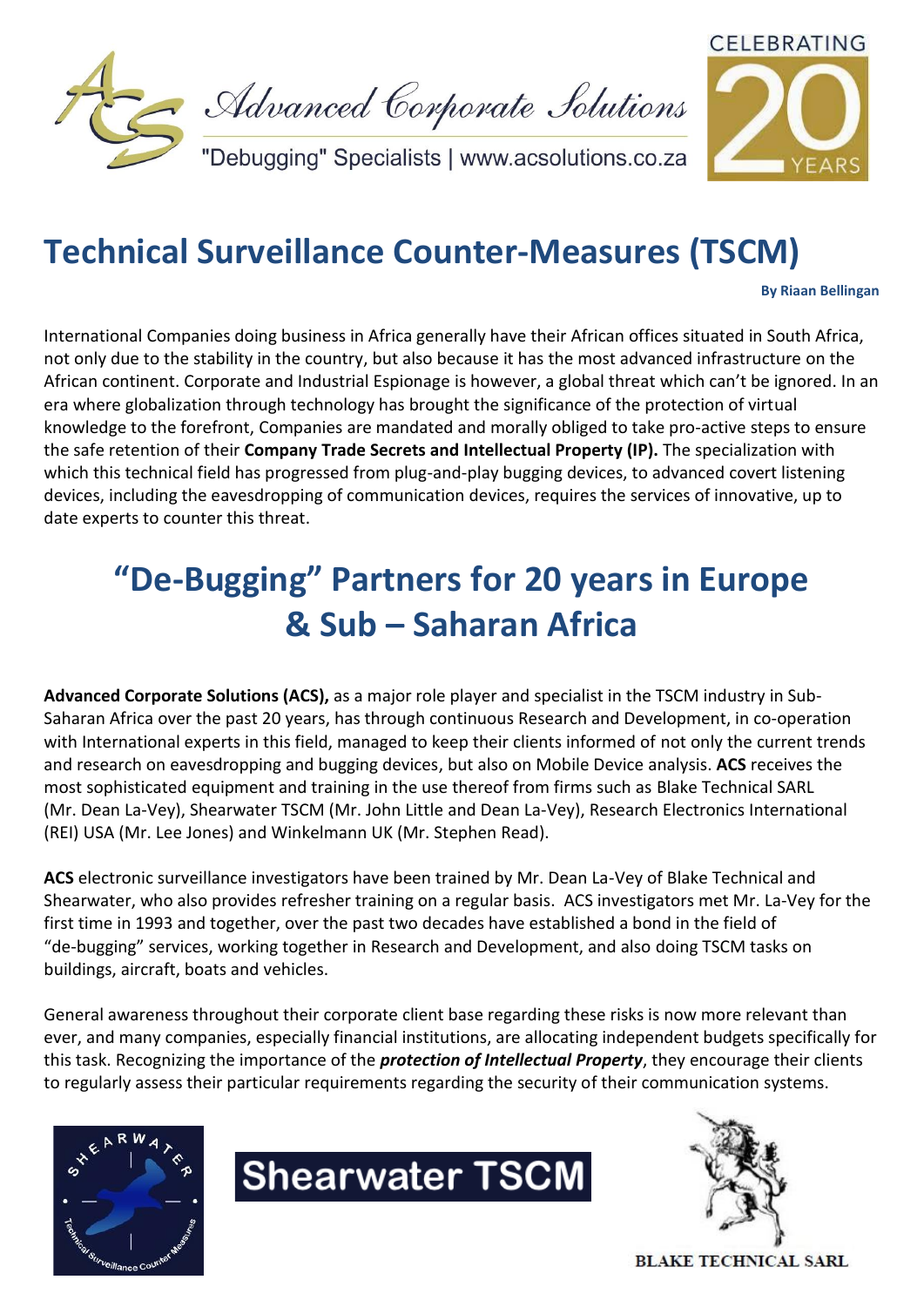



## **Technical Surveillance Counter-Measures (TSCM)**

**By Riaan Bellingan**

International Companies doing business in Africa generally have their African offices situated in South Africa, not only due to the stability in the country, but also because it has the most advanced infrastructure on the African continent. Corporate and Industrial Espionage is however, a global threat which can't be ignored. In an era where globalization through technology has brought the significance of the protection of virtual knowledge to the forefront, Companies are mandated and morally obliged to take pro-active steps to ensure the safe retention of their **Company Trade Secrets and Intellectual Property (IP).** The specialization with which this technical field has progressed from plug-and-play bugging devices, to advanced covert listening devices, including the eavesdropping of communication devices, requires the services of innovative, up to date experts to counter this threat.

# **"De-Bugging" Partners for 20 years in Europe & Sub – Saharan Africa**

**Advanced Corporate Solutions (ACS),** as a major role player and specialist in the TSCM industry in Sub-Saharan Africa over the past 20 years, has through continuous Research and Development, in co-operation with International experts in this field, managed to keep their clients informed of not only the current trends and research on eavesdropping and bugging devices, but also on Mobile Device analysis. **ACS** receives the most sophisticated equipment and training in the use thereof from firms such as Blake Technical SARL (Mr. Dean La-Vey), Shearwater TSCM (Mr. John Little and Dean La-Vey), Research Electronics International (REI) USA (Mr. Lee Jones) and Winkelmann UK (Mr. Stephen Read).

**ACS** electronic surveillance investigators have been trained by Mr. Dean La-Vey of Blake Technical and Shearwater, who also provides refresher training on a regular basis. ACS investigators met Mr. La-Vey for the first time in 1993 and together, over the past two decades have established a bond in the field of "de-bugging" services, working together in Research and Development, and also doing TSCM tasks on buildings, aircraft, boats and vehicles.

General awareness throughout their corporate client base regarding these risks is now more relevant than ever, and many companies, especially financial institutions, are allocating independent budgets specifically for this task. Recognizing the importance of the *protection of Intellectual Property*, they encourage their clients to regularly assess their particular requirements regarding the security of their communication systems.